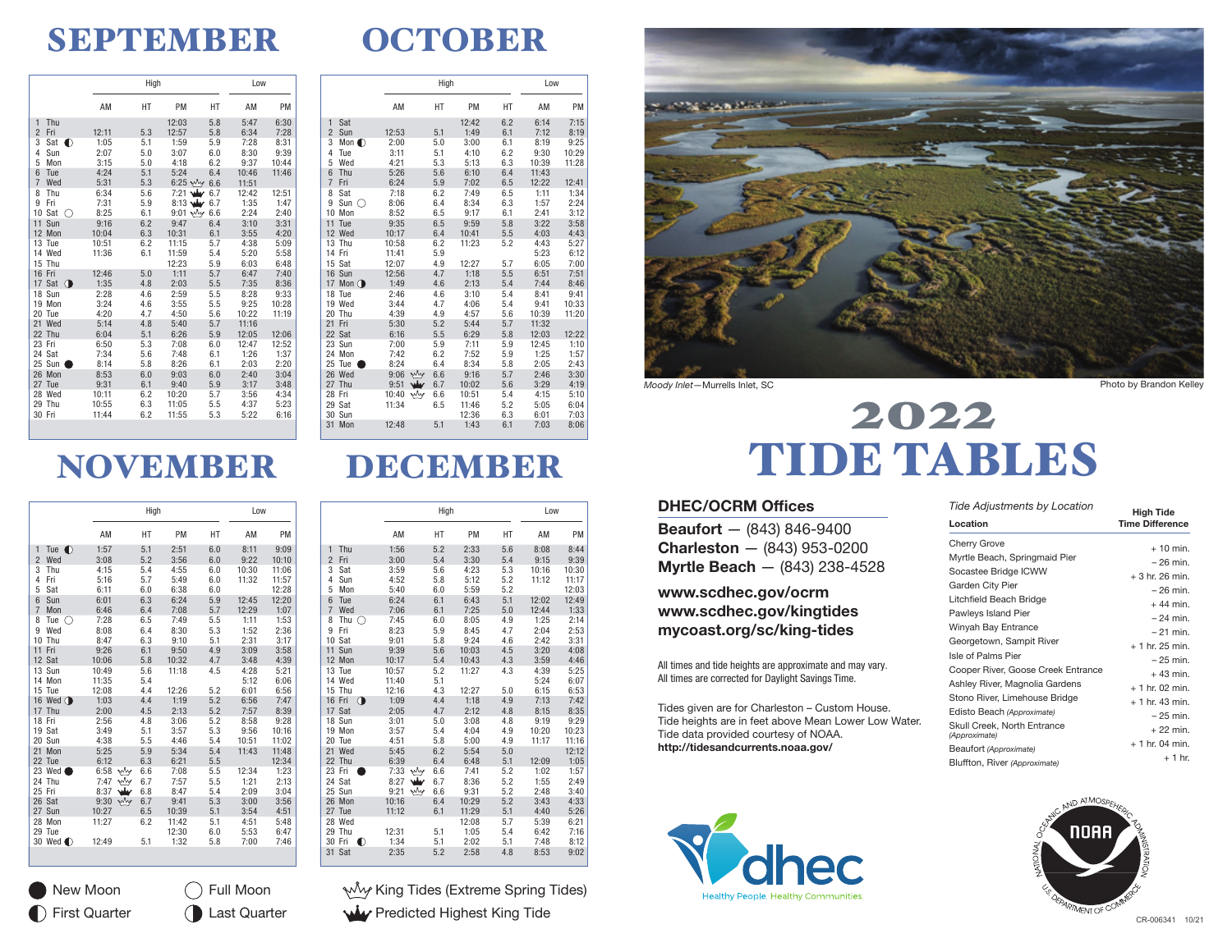### SEPTEMBER

## **OCTOBER**

|                       |       | High |                      |     | Low   |       |
|-----------------------|-------|------|----------------------|-----|-------|-------|
|                       | AM    | НT   | PM                   | HT  | AM    | PM    |
| Thu<br>1              |       |      | 12:03                | 5.8 | 5:47  | 6:30  |
| $\overline{2}$<br>Fri | 12:11 | 5.3  | 12:57                | 5.8 | 6:34  | 7:28  |
| 3<br>Sat<br>∩         | 1:05  | 5.1  | 1:59                 | 5.9 | 7:28  | 8:31  |
| $\overline{4}$<br>Sun | 2:07  | 5.0  | 3:07                 | 6.0 | 8:30  | 9:39  |
| 5<br>Mon              | 3:15  | 5.0  | 4:18                 | 6.2 | 9:37  | 10:44 |
| 6<br>Tue              | 4:24  | 5.1  | 5:24                 | 6.4 | 10:46 | 11:46 |
| $\overline{7}$<br>Wed | 5:31  | 5.3  | $6:25$ $\frac{M}{2}$ | 6.6 | 11:51 |       |
| 8<br>Thu              | 6:34  | 5.6  | 7:21 $\frac{1}{2}$   | 6.7 | 12:42 | 12:51 |
| 9<br>Fri              | 7:31  | 5.9  | $8:13$ Ww            | 6.7 | 1:35  | 1:47  |
| 10<br>Sat<br>∩        | 8:25  | 6.1  | $9:01$ $\sqrt{y}$    | 6.6 | 2:24  | 2:40  |
| 11<br>Sun             | 9:16  | 6.2  | 9:47                 | 6.4 | 3:10  | 3:31  |
| 12 Mon                | 10:04 | 6.3  | 10:31                | 6.1 | 3:55  | 4:20  |
| 13 Tue                | 10:51 | 6.2  | 11:15                | 5.7 | 4:38  | 5:09  |
| 14 Wed                | 11:36 | 6.1  | 11:59                | 5.4 | 5:20  | 5:58  |
| 15 Thu                |       |      | 12:23                | 5.9 | 6:03  | 6:48  |
| 16 Fri                | 12:46 | 5.0  | 1:11                 | 5.7 | 6:47  | 7:40  |
| 17 Sat $\bigcirc$     | 1:35  | 4.8  | 2:03                 | 5.5 | 7:35  | 8:36  |
| 18<br>Sun             | 2:28  | 4.6  | 2:59                 | 5.5 | 8:28  | 9:33  |
| 19 Mon                | 3:24  | 4.6  | 3:55                 | 5.5 | 9:25  | 10:28 |
| 20<br>Tue             | 4:20  | 4.7  | 4:50                 | 5.6 | 10:22 | 11:19 |
| Wed<br>21             | 5:14  | 4.8  | 5:40                 | 5.7 | 11:16 |       |
| 22 Thu                | 6:04  | 5.1  | 6:26                 | 5.9 | 12:05 | 12:06 |
| 23 Fri                | 6:50  | 5.3  | 7:08                 | 6.0 | 12:47 | 12:52 |
| 24 Sat                | 7:34  | 5.6  | 7:48                 | 6.1 | 1:26  | 1:37  |
| Sun<br>25             | 8:14  | 5.8  | 8:26                 | 6.1 | 2:03  | 2:20  |
| 26 Mon                | 8:53  | 6.0  | 9:03                 | 6.0 | 2:40  | 3:04  |
| 27 Tue                | 9:31  | 6.1  | 9:40                 | 5.9 | 3:17  | 3:48  |
| 28<br>Wed             | 10:11 | 6.2  | 10:20                | 5.7 | 3:56  | 4:34  |
| 29 Thu                | 10:55 | 6.3  | 11:05                | 5.5 | 4:37  | 5:23  |
| 30 Fri                | 11:44 | 6.2  | 11:55                | 5.3 | 5:22  | 6:16  |

|                       |              | High |       |     | Low   |       |
|-----------------------|--------------|------|-------|-----|-------|-------|
|                       | AM           | НT   | PM    | HT  | AM    | PM    |
| Sat<br>$\mathbf{1}$   |              |      | 12:42 | 6.2 | 6:14  | 7:15  |
| $\overline{2}$<br>Sun | 12:53        | 5.1  | 1:49  | 6.1 | 7:12  | 8:19  |
| 3<br>Mon $\bigcirc$   | 2:00         | 5.0  | 3:00  | 6.1 | 8:19  | 9:25  |
| 4<br>Tue              | 3:11         | 5.1  | 4:10  | 6.2 | 9:30  | 10:29 |
| 5<br>Wed              | 4:21         | 5.3  | 5:13  | 6.3 | 10:39 | 11:28 |
| 6<br>Thu              | 5:26         | 5.6  | 6:10  | 6.4 | 11:43 |       |
| $\overline{7}$<br>Fri | 6:24         | 5.9  | 7:02  | 6.5 | 12:22 | 12:41 |
| 8<br>Sat              | 7:18         | 6.2  | 7:49  | 6.5 | 1:11  | 1:34  |
| 9<br>Sun C            | 8:06         | 6.4  | 8:34  | 6.3 | 1:57  | 2:24  |
| 10<br>Mon             | 8:52         | 6.5  | 9:17  | 6.1 | 2:41  | 3:12  |
| 11<br>Tue             | 9:35         | 6.5  | 9:59  | 5.8 | 3:22  | 3:58  |
| 12 Wed                | 10:17        | 6.4  | 10:41 | 5.5 | 4:03  | 4:43  |
| 13 Thu                | 10:58        | 6.2  | 11:23 | 5.2 | 4:43  | 5:27  |
| 14 Fri                | 11:41        | 5.9  |       |     | 5:23  | 6:12  |
| 15 Sat                | 12:07        | 4.9  | 12:27 | 5.7 | 6:05  | 7:00  |
| 16 Sun                | 12:56        | 4.7  | 1:18  | 5.5 | 6:51  | 7:51  |
| 17 Mon $\bigcirc$     | 1:49         | 4.6  | 2:13  | 5.4 | 7:44  | 8:46  |
| 18 Tue                | 2:46         | 4.6  | 3:10  | 5.4 | 8:41  | 9:41  |
| 19 Wed                | 3:44         | 4.7  | 4:06  | 5.4 | 9:41  | 10:33 |
| 20<br>Thu             | 4:39         | 4.9  | 4:57  | 5.6 | 10:39 | 11:20 |
| 21<br>Fri             | 5:30         | 5.2  | 5:44  | 5.7 | 11:32 |       |
| 22 Sat                | 6:16         | 5.5  | 6:29  | 5.8 | 12:03 | 12:22 |
| 23 Sun                | 7:00         | 5.9  | 7:11  | 5.9 | 12:45 | 1:10  |
| 24<br>Mon             | 7:42         | 6.2  | 7:52  | 5.9 | 1:25  | 1:57  |
| 25 Tue                | 8:24         | 6.4  | 8:34  | 5.8 | 2:05  | 2:43  |
| 26 Wed                | why<br>9:06  | 6.6  | 9:16  | 5.7 | 2:46  | 3:30  |
| 27<br>Thu             | بىق<br>9:51  | 6.7  | 10:02 | 5.6 | 3:29  | 4:19  |
| 28<br>Fri             | why<br>10:40 | 6.6  | 10:51 | 5.4 | 4:15  | 5:10  |
| 29 Sat                | 11:34        | 6.5  | 11:46 | 5.2 | 5:05  | 6:04  |
| 30 Sun                |              |      | 12:36 | 6.3 | 6:01  | 7:03  |
| 31<br>Mon             | 12:48        | 5.1  | 1:43  | 6.1 | 7:03  | 8:06  |

### NOVEMBER

|                                |                   | High       |               | Low        |              |              |
|--------------------------------|-------------------|------------|---------------|------------|--------------|--------------|
|                                | AM                | НT         | PM            | HT         | AM           | PM           |
| Tue $\bigcirc$<br>$\mathbf{1}$ | 1:57              | 5.1        | 2:51          | 6.0        | 8:11         | 9:09         |
| $\overline{2}$<br>Wed          | 3:08              | 5.2        | 3:56          | 6.0        | 9:22         | 10:10        |
| 3<br>Thu                       | 4:15              | 5.4        | 4:55          | 6.0        | 10:30        | 11:06        |
| Fri<br>4                       | 5:16              | 5.7        | 5:49          | 6.0        | 11:32        | 11:57        |
| 5<br>Sat                       | 6:11              | 6.0        | 6:38          | 6.0        |              | 12:28        |
| $6\overline{6}$<br>Sun         | 6:01              | 6.3        | 6:24          | 5.9        | 12:45        | 12:20        |
| $\overline{7}$<br>Mon          | 6:46              | 6.4        | 7:08          | 5.7        | 12:29        | 1:07         |
| 8<br>Tue<br>( )                | 7:28              | 6.5        | 7:49          | 5.5        | 1:11         | 1:53         |
| 9<br>Wed                       | 8:08              | 6.4        | 8:30          | 5.3        | 1:52         | 2:36         |
| 10 Thu                         | 8:47              | 6.3        | 9:10          | 5.1        | 2:31         | 3:17         |
| 11 Fri                         | 9:26              | 6.1        | 9:50          | 4.9        | 3:09         | 3:58         |
| 12 Sat                         | 10:06             | 5.8        | 10:32         | 4.7        | 3:48         | 4:39         |
| 13 Sun                         | 10:49             | 5.6        | 11:18         | 4.5        | 4:28         | 5:21         |
| 14 Mon                         | 11:35             | 5.4        |               |            | 5:12         | 6:06         |
| 15 Tue                         | 12:08             | 4.4        | 12:26         | 5.2        | 6:01         | 6:56         |
| 16 Wed $\bigcirc$              | 1:03              | 4.4        | 1:19          | 5.2        | 6:56         | 7:47         |
| 17 Thu                         | 2:00              | 4.5        | 2:13          | 5.2        | 7:57         | 8:39         |
| 18 Fri                         | 2:56              | 4.8        | 3:06          | 5.2        | 8:58         | 9:28         |
| 19 Sat                         | 3:49              | 5.1        | 3:57          | 5.3        | 9:56         | 10:16        |
| 20 Sun                         | 4:38              | 5.5        | 4:46          | 5.4        | 10:51        | 11:02        |
| 21<br>Mon                      | 5:25              | 5.9        | 5:34          | 5.4        | 11:43        | 11:48        |
| 22 Tue                         | 6:12              | 6.3        | 6:21          | 5.5        |              | 12:34        |
| 23 Wed                         | ٧Ŵ<br>6:58<br>why | 6.6        | 7:08          | 5.5        | 12:34        | 1:23         |
| 24 Thu<br>25 Fri               | 7:47              | 6.7        | 7:57          | 5.5        | 1:21         | 2:13         |
| 26 Sat                         | 8:37<br>why       | 6.8        | 8:47          | 5.4        | 2:09         | 3:04         |
| 27 Sun                         | 9:30<br>10:27     | 6.7<br>6.5 | 9:41<br>10:39 | 5.3<br>5.1 | 3:00<br>3:54 | 3:56<br>4:51 |
| 28<br>Mon                      | 11:27             | 6.2        | 11:42         | 5.1        | 4:51         | 5:48         |
| 29 Tue                         |                   |            |               |            |              | 6:47         |
| 30 Wed (                       | 12:49             | 5.1        | 12:30<br>1:32 | 6.0<br>5.8 | 5:53<br>7:00 | 7:46         |

First Quarter (Last Quarter

Full Moon

### DECEMBER

| НT<br>PM<br>HT<br>AM<br>AM<br>PM<br>5.2<br>5.6<br>8:44<br>Thu<br>1:56<br>2:33<br>8:08<br>$\mathbf{1}$<br>$\overline{2}$<br>Fri<br>5.4<br>5.4<br>3:00<br>3:30<br>9:15<br>9:39<br>3<br>3:59<br>5.6<br>4:23<br>5.3<br>10:30<br>Sat<br>10:16<br>11:17<br>4:52<br>5.8<br>5:12<br>5.2<br>11:12<br>4<br>Sun<br>5<br>5:40<br>6.0<br>5:59<br>5.2<br>12:03<br>Mon<br>6<br>6.1<br>5.1<br>12:02<br>12:49<br>Tue<br>6:24<br>6:43<br>6.1<br>1:33<br>$\overline{7}$<br>Wed<br>7:06<br>7:25<br>5.0<br>12:44<br>8<br>7:45<br>4.9<br>1:25<br>2:14<br>Thu<br>◠<br>6.0<br>8:05<br>8:23<br>9<br>Fri<br>5.9<br>8:45<br>4.7<br>2:04<br>2:53<br>10<br>Sat<br>5.8<br>9:24<br>3:31<br>9:01<br>4.6<br>2:42<br>11<br>Sun<br>9:39<br>5.6<br>10:03<br>4.5<br>3:20<br>4:08 |
|---------------------------------------------------------------------------------------------------------------------------------------------------------------------------------------------------------------------------------------------------------------------------------------------------------------------------------------------------------------------------------------------------------------------------------------------------------------------------------------------------------------------------------------------------------------------------------------------------------------------------------------------------------------------------------------------------------------------------------------------|
|                                                                                                                                                                                                                                                                                                                                                                                                                                                                                                                                                                                                                                                                                                                                             |
|                                                                                                                                                                                                                                                                                                                                                                                                                                                                                                                                                                                                                                                                                                                                             |
|                                                                                                                                                                                                                                                                                                                                                                                                                                                                                                                                                                                                                                                                                                                                             |
|                                                                                                                                                                                                                                                                                                                                                                                                                                                                                                                                                                                                                                                                                                                                             |
|                                                                                                                                                                                                                                                                                                                                                                                                                                                                                                                                                                                                                                                                                                                                             |
|                                                                                                                                                                                                                                                                                                                                                                                                                                                                                                                                                                                                                                                                                                                                             |
|                                                                                                                                                                                                                                                                                                                                                                                                                                                                                                                                                                                                                                                                                                                                             |
|                                                                                                                                                                                                                                                                                                                                                                                                                                                                                                                                                                                                                                                                                                                                             |
|                                                                                                                                                                                                                                                                                                                                                                                                                                                                                                                                                                                                                                                                                                                                             |
|                                                                                                                                                                                                                                                                                                                                                                                                                                                                                                                                                                                                                                                                                                                                             |
|                                                                                                                                                                                                                                                                                                                                                                                                                                                                                                                                                                                                                                                                                                                                             |
|                                                                                                                                                                                                                                                                                                                                                                                                                                                                                                                                                                                                                                                                                                                                             |
| 12<br>10:17<br>5.4<br>10:43<br>4.3<br>3:59<br>4:46<br>Mon                                                                                                                                                                                                                                                                                                                                                                                                                                                                                                                                                                                                                                                                                   |
| 13<br>Tue<br>10:57<br>5.2<br>11:27<br>4.3<br>4:39<br>5:25                                                                                                                                                                                                                                                                                                                                                                                                                                                                                                                                                                                                                                                                                   |
| 5.1<br>14 Wed<br>11:40<br>5:24<br>6:07                                                                                                                                                                                                                                                                                                                                                                                                                                                                                                                                                                                                                                                                                                      |
| 4.3<br>15 Thu<br>12:16<br>12:27<br>5.0<br>6:15<br>6:53                                                                                                                                                                                                                                                                                                                                                                                                                                                                                                                                                                                                                                                                                      |
| O<br>7:13<br>16 Fri<br>1:09<br>4.4<br>1:18<br>4.9<br>7:42                                                                                                                                                                                                                                                                                                                                                                                                                                                                                                                                                                                                                                                                                   |
| 17 Sat<br>2:05<br>4.7<br>2:12<br>8:15<br>8:35<br>4.8                                                                                                                                                                                                                                                                                                                                                                                                                                                                                                                                                                                                                                                                                        |
| 18<br>3:01<br>5.0<br>3:08<br>9:19<br>9:29<br>Sun<br>4.8                                                                                                                                                                                                                                                                                                                                                                                                                                                                                                                                                                                                                                                                                     |
| 19 Mon<br>3:57<br>5.4<br>4:04<br>4.9<br>10:20<br>10:23                                                                                                                                                                                                                                                                                                                                                                                                                                                                                                                                                                                                                                                                                      |
| 4:51<br>5.8<br>5:00<br>4.9<br>11:17<br>11:16<br>20 Tue<br>12:12<br>21<br>Wed<br>5:45<br>6.2<br>5:54<br>5.0                                                                                                                                                                                                                                                                                                                                                                                                                                                                                                                                                                                                                                  |
| 22<br>6:39<br>6.4<br>5.1<br>1:05<br>Thu<br>6:48<br>12:09                                                                                                                                                                                                                                                                                                                                                                                                                                                                                                                                                                                                                                                                                    |
| wly<br>23<br>7:33<br>6.6<br>7:41<br>5.2<br>1:02<br>1:57<br>Fri                                                                                                                                                                                                                                                                                                                                                                                                                                                                                                                                                                                                                                                                              |
| Sat<br>8:27<br>8:36<br>5.2<br>1:55<br>24<br>6.7<br>2:49                                                                                                                                                                                                                                                                                                                                                                                                                                                                                                                                                                                                                                                                                     |
| wly<br>6.6<br>5.2<br>25<br>Sun<br>9:21<br>9:31<br>2:48<br>3:40                                                                                                                                                                                                                                                                                                                                                                                                                                                                                                                                                                                                                                                                              |
| 5.2<br>26<br>10:16<br>6.4<br>10:29<br>3:43<br>4:33<br>Mon                                                                                                                                                                                                                                                                                                                                                                                                                                                                                                                                                                                                                                                                                   |
| 5.1<br>11:29<br>5:26<br>27 Tue<br>11:12<br>6.1<br>4:40                                                                                                                                                                                                                                                                                                                                                                                                                                                                                                                                                                                                                                                                                      |
| 5.7<br>6:21<br>28<br>Wed<br>12:08<br>5:39                                                                                                                                                                                                                                                                                                                                                                                                                                                                                                                                                                                                                                                                                                   |
| 29<br>1:05<br>5.4<br>7:16<br>Thu<br>12:31<br>5.1<br>6:42                                                                                                                                                                                                                                                                                                                                                                                                                                                                                                                                                                                                                                                                                    |
| 30<br>Fri<br>∩<br>1:34<br>5.1<br>2:02<br>5.1<br>7:48<br>8:12                                                                                                                                                                                                                                                                                                                                                                                                                                                                                                                                                                                                                                                                                |
| 31<br>Sat<br>2:35<br>5.2<br>2:58<br>8:53<br>9:02<br>4.8                                                                                                                                                                                                                                                                                                                                                                                                                                                                                                                                                                                                                                                                                     |

New Moon  $\bigcap$  Full Moon  $\mathbb{W}^{\mathcal{M}}$  King Tides (Extreme Spring Tides) **Wiv** Predicted Highest King Tide



*Moody Inlet*—Murrells Inlet, SC

# TIDE TABLES

#### DHEC/OCRM Offices

Beaufort — (843) 846-9400 Charleston — (843) 953-0200 Myrtle Beach — (843) 238-4528

#### [www.scdhec.gov/ocrm](http://www.scdhec.gov/ocrm) [www.scdhec.gov/kingtides](http://www.scdhec.gov/kingtides) [mycoast.org/sc/king-tides](http://mycoast.org/sc/king-tides)

All times and tide heights are approximate and may vary. All times are corrected for Daylight Savings Time.

Tides given are for Charleston – Custom House. Tide heights are in feet above Mean Lower Low Water. Tide data provided courtesy of NOAA. <http://tidesandcurrents.noaa.gov/>



Photo by Brandon Kelley

| <b>Tide Adjustments by Location</b>                                                                                                                                                                                                                                                              | High Tide                                                                                                                                      |
|--------------------------------------------------------------------------------------------------------------------------------------------------------------------------------------------------------------------------------------------------------------------------------------------------|------------------------------------------------------------------------------------------------------------------------------------------------|
| Location                                                                                                                                                                                                                                                                                         | <b>Time Difference</b>                                                                                                                         |
| Cherry Grove                                                                                                                                                                                                                                                                                     | $+10$ min.                                                                                                                                     |
| Myrtle Beach, Springmaid Pier                                                                                                                                                                                                                                                                    | $-26$ min.                                                                                                                                     |
| Socastee Bridge ICWW                                                                                                                                                                                                                                                                             | $+3$ hr. 26 min.                                                                                                                               |
| Garden City Pier                                                                                                                                                                                                                                                                                 | $-26$ min.                                                                                                                                     |
| Litchfield Beach Bridge                                                                                                                                                                                                                                                                          | $+44$ min.                                                                                                                                     |
| Pawleys Island Pier                                                                                                                                                                                                                                                                              | $-24$ min                                                                                                                                      |
| Winyah Bay Entrance                                                                                                                                                                                                                                                                              | $-21$ min.                                                                                                                                     |
| Georgetown, Sampit River<br>Isle of Palms Pier<br>Cooper River, Goose Creek Entrance<br>Ashley River, Magnolia Gardens<br>Stono River, Limehouse Bridge<br>Edisto Beach (Approximate)<br>Skull Creek. North Entrance<br>(Approximate)<br>Beaufort (Approximate)<br>Bluffton, River (Approximate) | $+1$ hr. 25 min.<br>$-25$ min.<br>$+43$ min.<br>$+1$ hr. 02 min.<br>$+1$ hr. 43 min.<br>$-25$ min.<br>$+22$ min.<br>$+1$ hr. 04 min.<br>$+1hr$ |